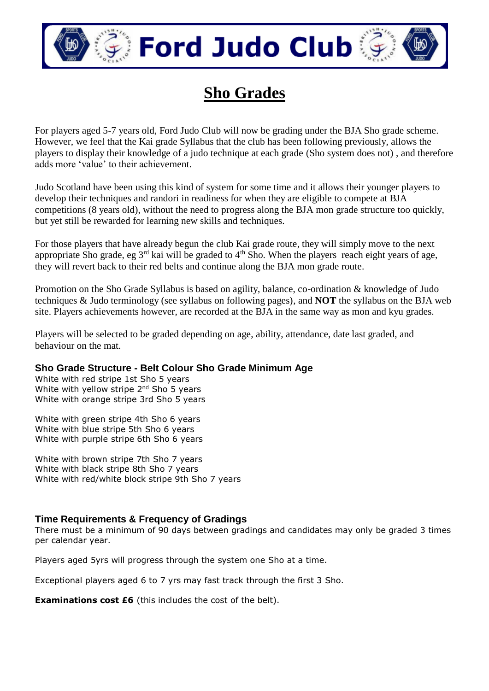

# **Ford Judo Club**

## **Sho Grades**

For players aged 5-7 years old, Ford Judo Club will now be grading under the BJA Sho grade scheme. However, we feel that the Kai grade Syllabus that the club has been following previously, allows the players to display their knowledge of a judo technique at each grade (Sho system does not) , and therefore adds more 'value' to their achievement.

Judo Scotland have been using this kind of system for some time and it allows their younger players to develop their techniques and randori in readiness for when they are eligible to compete at BJA competitions (8 years old), without the need to progress along the BJA mon grade structure too quickly, but yet still be rewarded for learning new skills and techniques.

For those players that have already begun the club Kai grade route, they will simply move to the next appropriate Sho grade, eg  $3<sup>rd</sup>$  kai will be graded to  $4<sup>th</sup>$  Sho. When the players reach eight years of age, they will revert back to their red belts and continue along the BJA mon grade route.

Promotion on the Sho Grade Syllabus is based on agility, balance, co-ordination & knowledge of Judo techniques & Judo terminology (see syllabus on following pages), and **NOT** the syllabus on the BJA web site. Players achievements however, are recorded at the BJA in the same way as mon and kyu grades.

Players will be selected to be graded depending on age, ability, attendance, date last graded, and behaviour on the mat.

#### **Sho Grade Structure - Belt Colour Sho Grade Minimum Age**

White with red stripe 1st Sho 5 years White with yellow stripe 2<sup>nd</sup> Sho 5 years White with orange stripe 3rd Sho 5 years

White with green stripe 4th Sho 6 years White with blue stripe 5th Sho 6 years White with purple stripe 6th Sho 6 years

White with brown stripe 7th Sho 7 years White with black stripe 8th Sho 7 years White with red/white block stripe 9th Sho 7 years

#### **Time Requirements & Frequency of Gradings**

There must be a minimum of 90 days between gradings and candidates may only be graded 3 times per calendar year.

Players aged 5yrs will progress through the system one Sho at a time.

Exceptional players aged 6 to 7 yrs may fast track through the first 3 Sho.

**Examinations cost £6** (this includes the cost of the belt).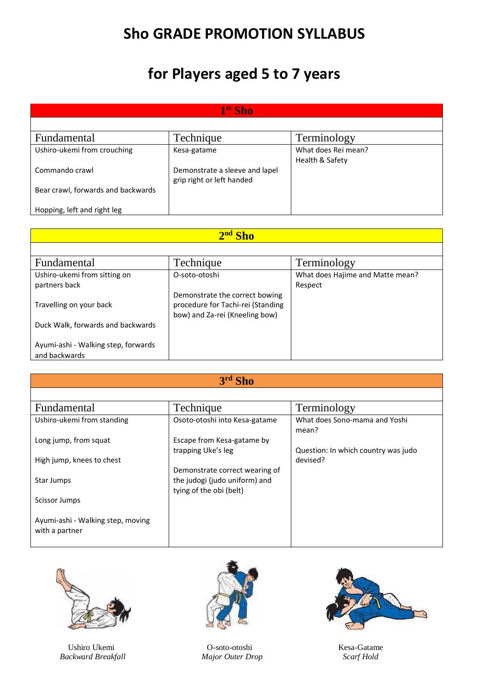### **Sho GRADE PROMOTION SYLLABUS**

## **for Players aged 5 to 7 years**

| 1 <sup>st</sup> Sho                |                                |                     |
|------------------------------------|--------------------------------|---------------------|
|                                    |                                |                     |
| <b>Fundamental</b>                 | Technique                      | Terminology         |
| Ushiro-ukemi from crouching        | Kesa-gatame                    | What does Rei mean? |
|                                    |                                | Health & Safety     |
| Commando crawl                     | Demonstrate a sleeve and lapel |                     |
|                                    | grip right or left handed      |                     |
| Bear crawl, forwards and backwards |                                |                     |
|                                    |                                |                     |
| Hopping, left and right leg        |                                |                     |

| 2nd Sho                                              |                                                                                                       |                                  |
|------------------------------------------------------|-------------------------------------------------------------------------------------------------------|----------------------------------|
|                                                      |                                                                                                       |                                  |
| <b>Fundamental</b>                                   | Technique                                                                                             | Terminology                      |
| Ushiro-ukemi from sitting on                         | O-soto-otoshi                                                                                         | What does Hajime and Matte mean? |
| partners back                                        |                                                                                                       | Respect                          |
| Travelling on your back                              | Demonstrate the correct bowing<br>procedure for Tachi-rei (Standing<br>bow) and Za-rei (Kneeling bow) |                                  |
| Duck Walk, forwards and backwards                    |                                                                                                       |                                  |
| Ayumi-ashi - Walking step, forwards<br>and backwards |                                                                                                       |                                  |

| <b>Fundamental</b>                | Technique                      | Terminology                            |
|-----------------------------------|--------------------------------|----------------------------------------|
| Ushiro-ukemi from standing        | Osoto-otoshi into Kesa-gatame  | What does Sono-mama and Yoshi<br>mean? |
| Long jump, from squat             | Escape from Kesa-gatame by     |                                        |
|                                   | trapping Uke's leg             | Question: In which country was judo    |
| High jump, knees to chest         |                                | devised?                               |
|                                   | Demonstrate correct wearing of |                                        |
| Star Jumps                        | the judogi (judo uniform) and  |                                        |
|                                   | tying of the obi (belt)        |                                        |
| Scissor Jumps                     |                                |                                        |
|                                   |                                |                                        |
| Ayumi-ashi - Walking step, moving |                                |                                        |
| with a partner                    |                                |                                        |
|                                   |                                |                                        |



 *Backward Breakfall Major Outer Drop Scarf Hold*



Ushiro Ukemi O-soto-otoshi Kesa-Gatame

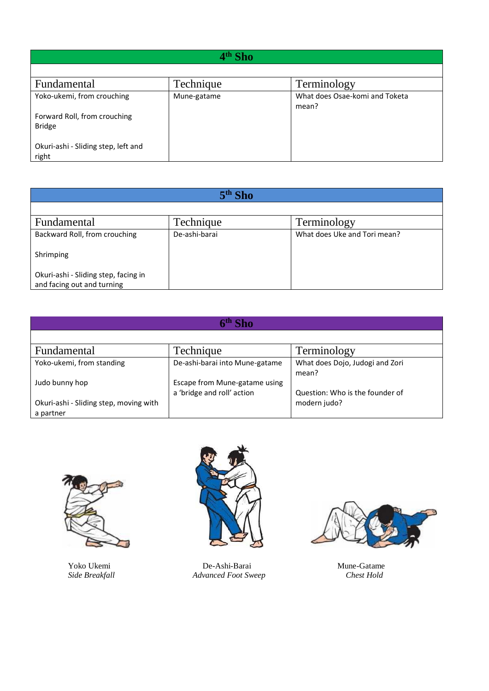| 4 <sup>th</sup> Sho                           |             |                                         |
|-----------------------------------------------|-------------|-----------------------------------------|
|                                               |             |                                         |
| <b>Fundamental</b>                            | Technique   | Terminology                             |
| Yoko-ukemi, from crouching                    | Mune-gatame | What does Osae-komi and Toketa<br>mean? |
| Forward Roll, from crouching<br><b>Bridge</b> |             |                                         |
| Okuri-ashi - Sliding step, left and<br>right  |             |                                         |

| $5th$ Sho                                                          |               |                              |
|--------------------------------------------------------------------|---------------|------------------------------|
|                                                                    |               |                              |
| <b>Fundamental</b>                                                 | Technique     | Terminology                  |
| Backward Roll, from crouching                                      | De-ashi-barai | What does Uke and Tori mean? |
| Shrimping                                                          |               |                              |
| Okuri-ashi - Sliding step, facing in<br>and facing out and turning |               |                              |

| Sho                                                 |                                                             |                                          |
|-----------------------------------------------------|-------------------------------------------------------------|------------------------------------------|
|                                                     |                                                             |                                          |
| <b>Fundamental</b>                                  | Technique                                                   | Terminology                              |
| Yoko-ukemi, from standing                           | De-ashi-barai into Mune-gatame                              | What does Dojo, Judogi and Zori<br>mean? |
| Judo bunny hop                                      | Escape from Mune-gatame using<br>a 'bridge and roll' action | Question: Who is the founder of          |
| Okuri-ashi - Sliding step, moving with<br>a partner |                                                             | modern judo?                             |





 Yoko Ukemi De-Ashi-Barai Mune-Gatame  *Side Breakfall Advanced Foot Sweep Chest Hold*